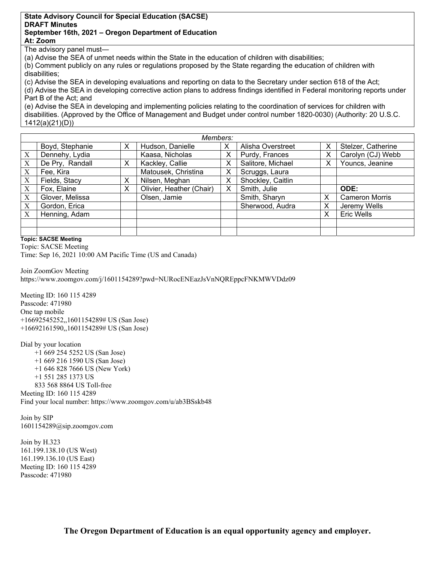## **State Advisory Council for Special Education (SACSE) DRAFT Minutes September 16th, 2021 – Oregon Department of Education**

**At: Zoom** 

The advisory panel must—

(a) Advise the SEA of unmet needs within the State in the education of children with disabilities;

(b) Comment publicly on any rules or regulations proposed by the State regarding the education of children with disabilities;

(c) Advise the SEA in developing evaluations and reporting on data to the Secretary under section 618 of the Act; (d) Advise the SEA in developing corrective action plans to address findings identified in Federal monitoring reports under Part B of the Act; and

(e) Advise the SEA in developing and implementing policies relating to the coordination of services for children with disabilities. (Approved by the Office of Management and Budget under control number 1820-0030) (Authority: 20 U.S.C. 1412(a)(21)(D))

|   | Members:        |   |                          |   |                   |   |                       |
|---|-----------------|---|--------------------------|---|-------------------|---|-----------------------|
|   | Boyd, Stephanie | X | Hudson, Danielle         | Х | Alisha Overstreet | Х | Stelzer, Catherine    |
| X | Dennehy, Lydia  |   | Kaasa, Nicholas          | х | Purdy, Frances    | Х | Carolyn (CJ) Webb     |
| X | De Pry, Randall | X | Kackley, Callie          | Х | Salitore, Michael | Χ | Youncs, Jeanine       |
| X | Fee, Kira       |   | Matousek, Christina      | х | Scruggs, Laura    |   |                       |
| X | Fields, Stacy   | х | Nilsen, Meghan           | х | Shockley, Caitlin |   |                       |
| X | Fox, Elaine     | X | Olivier, Heather (Chair) | х | Smith, Julie      |   | ODE:                  |
| X | Glover, Melissa |   | Olsen, Jamie             |   | Smith, Sharyn     | X | <b>Cameron Morris</b> |
| X | Gordon, Erica   |   |                          |   | Sherwood, Audra   | X | Jeremy Wells          |
| X | Henning, Adam   |   |                          |   |                   | Χ | Eric Wells            |
|   |                 |   |                          |   |                   |   |                       |
|   |                 |   |                          |   |                   |   |                       |

**Topic: SACSE Meeting** 

 Time: Sep 16, 2021 10:00 AM Pacific Time (US and Canada) Topic: SACSE Meeting

Join ZoomGov Meeting https://www.zoomgov.com/j/1601154289?pwd=NURocENEazJsVnNQREppcFNKMWVDdz09

Meeting ID: 160 115 4289 Passcode: 471980 One tap mobile +16692545252,,1601154289# US (San Jose) +16692161590,,1601154289# US (San Jose)

Dial by your location +1 669 254 5252 US (San Jose) +1 669 216 1590 US (San Jose) +1 646 828 7666 US (New York) +1 551 285 1373 US 833 568 8864 US Toll-free Meeting ID: 160 115 4289 Find your local number: https://www.zoomgov.com/u/ab3BSskb48

Join by SIP 1601154289@sip.zoomgov.com

Join by H.323 161.199.138.10 (US West) 161.199.136.10 (US East) Meeting ID: 160 115 4289 Passcode: 471980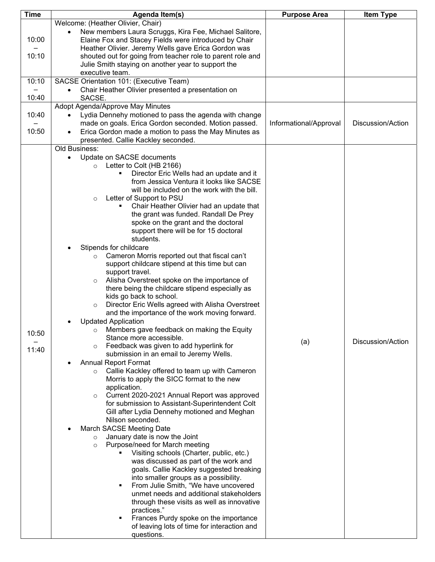| <b>Time</b> | Agenda Item(s)                                                     | <b>Purpose Area</b>    | <b>Item Type</b>  |
|-------------|--------------------------------------------------------------------|------------------------|-------------------|
|             | Welcome: (Heather Olivier, Chair)                                  |                        |                   |
|             | New members Laura Scruggs, Kira Fee, Michael Salitore,             |                        |                   |
| 10:00       | Elaine Fox and Stacey Fields were introduced by Chair              |                        |                   |
|             | Heather Olivier. Jeremy Wells gave Erica Gordon was                |                        |                   |
| 10:10       | shouted out for going from teacher role to parent role and         |                        |                   |
|             | Julie Smith staying on another year to support the                 |                        |                   |
|             | executive team.                                                    |                        |                   |
| 10:10       | SACSE Orientation 101: (Executive Team)                            |                        |                   |
|             | Chair Heather Olivier presented a presentation on                  |                        |                   |
| 10:40       | SACSE.                                                             |                        |                   |
|             | Adopt Agenda/Approve May Minutes                                   |                        |                   |
| 10:40       | Lydia Dennehy motioned to pass the agenda with change<br>$\bullet$ |                        |                   |
|             | made on goals. Erica Gordon seconded. Motion passed.               | Informational/Approval | Discussion/Action |
| 10:50       | Erica Gordon made a motion to pass the May Minutes as<br>$\bullet$ |                        |                   |
|             | presented. Callie Kackley seconded.                                |                        |                   |
|             | Old Business:                                                      |                        |                   |
|             | Update on SACSE documents                                          |                        |                   |
|             | Letter to Colt (HB 2166)<br>$\circ$                                |                        |                   |
|             | Director Eric Wells had an update and it                           |                        |                   |
|             | from Jessica Ventura it looks like SACSE                           |                        |                   |
|             | will be included on the work with the bill.                        |                        |                   |
|             | Letter of Support to PSU<br>$\circ$                                |                        |                   |
|             | Chair Heather Olivier had an update that                           |                        |                   |
|             | the grant was funded. Randall De Prey                              |                        |                   |
|             | spoke on the grant and the doctoral                                |                        |                   |
|             | support there will be for 15 doctoral                              |                        |                   |
|             | students.                                                          |                        |                   |
|             | Stipends for childcare                                             |                        |                   |
|             | Cameron Morris reported out that fiscal can't<br>$\circ$           |                        |                   |
|             | support childcare stipend at this time but can                     |                        |                   |
|             | support travel.                                                    |                        |                   |
|             | Alisha Overstreet spoke on the importance of<br>$\circ$            |                        |                   |
|             | there being the childcare stipend especially as                    |                        |                   |
|             | kids go back to school.                                            |                        |                   |
|             | Director Eric Wells agreed with Alisha Overstreet<br>$\circ$       |                        |                   |
|             | and the importance of the work moving forward.                     |                        |                   |
|             | <b>Updated Application</b>                                         |                        |                   |
|             | $\circ$ Members gave feedback on making the Equity                 |                        |                   |
| 10:50       | Stance more accessible.                                            |                        |                   |
|             | Feedback was given to add hyperlink for                            | (a)                    | Discussion/Action |
| 11:40       | submission in an email to Jeremy Wells.                            |                        |                   |
|             | <b>Annual Report Format</b>                                        |                        |                   |
|             | Callie Kackley offered to team up with Cameron<br>$\circ$          |                        |                   |
|             | Morris to apply the SICC format to the new                         |                        |                   |
|             | application.                                                       |                        |                   |
|             | Current 2020-2021 Annual Report was approved<br>$\circ$            |                        |                   |
|             | for submission to Assistant-Superintendent Colt                    |                        |                   |
|             | Gill after Lydia Dennehy motioned and Meghan                       |                        |                   |
|             | Nilson seconded.                                                   |                        |                   |
|             | March SACSE Meeting Date                                           |                        |                   |
|             | January date is now the Joint<br>$\circ$                           |                        |                   |
|             | Purpose/need for March meeting<br>$\circ$                          |                        |                   |
|             | Visiting schools (Charter, public, etc.)                           |                        |                   |
|             | was discussed as part of the work and                              |                        |                   |
|             | goals. Callie Kackley suggested breaking                           |                        |                   |
|             | into smaller groups as a possibility.                              |                        |                   |
|             | From Julie Smith, "We have uncovered<br>٠                          |                        |                   |
|             | unmet needs and additional stakeholders                            |                        |                   |
|             | through these visits as well as innovative                         |                        |                   |
|             | practices."                                                        |                        |                   |
|             | Frances Purdy spoke on the importance                              |                        |                   |
|             | of leaving lots of time for interaction and                        |                        |                   |
|             | questions.                                                         |                        |                   |
|             |                                                                    |                        |                   |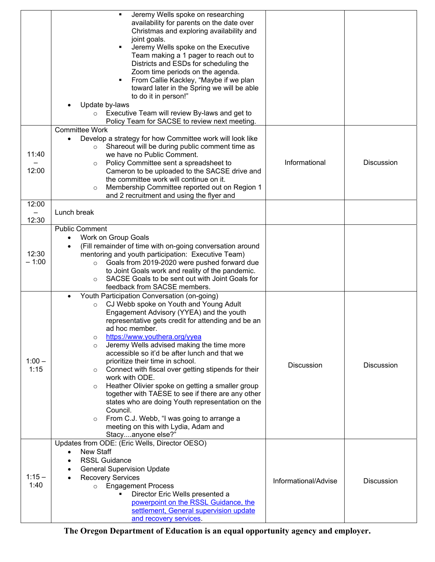|          | Jeremy Wells spoke on researching                                                                     |                      |                   |
|----------|-------------------------------------------------------------------------------------------------------|----------------------|-------------------|
|          | availability for parents on the date over<br>Christmas and exploring availability and                 |                      |                   |
|          | joint goals.                                                                                          |                      |                   |
|          | Jeremy Wells spoke on the Executive                                                                   |                      |                   |
|          | Team making a 1 pager to reach out to                                                                 |                      |                   |
|          | Districts and ESDs for scheduling the                                                                 |                      |                   |
|          | Zoom time periods on the agenda.                                                                      |                      |                   |
|          | From Callie Kackley, "Maybe if we plan                                                                |                      |                   |
|          | toward later in the Spring we will be able<br>to do it in person!"                                    |                      |                   |
|          | Update by-laws<br>٠                                                                                   |                      |                   |
|          | Executive Team will review By-laws and get to<br>$\circ$                                              |                      |                   |
|          | Policy Team for SACSE to review next meeting.                                                         |                      |                   |
|          | <b>Committee Work</b>                                                                                 |                      |                   |
|          | Develop a strategy for how Committee work will look like                                              |                      |                   |
| 11:40    | Shareout will be during public comment time as<br>we have no Public Comment.                          |                      |                   |
|          | Policy Committee sent a spreadsheet to<br>$\circ$                                                     | Informational        | <b>Discussion</b> |
| 12:00    | Cameron to be uploaded to the SACSE drive and                                                         |                      |                   |
|          | the committee work will continue on it.                                                               |                      |                   |
|          | Membership Committee reported out on Region 1<br>$\circ$                                              |                      |                   |
|          | and 2 recruitment and using the flyer and                                                             |                      |                   |
| 12:00    | Lunch break                                                                                           |                      |                   |
| 12:30    |                                                                                                       |                      |                   |
|          | Public Comment                                                                                        |                      |                   |
|          | Work on Group Goals<br>$\bullet$                                                                      |                      |                   |
|          | (Fill remainder of time with on-going conversation around<br>٠                                        |                      |                   |
| 12:30    | mentoring and youth participation: Executive Team)                                                    |                      |                   |
| $-1:00$  | Goals from 2019-2020 were pushed forward due<br>$\circ$                                               |                      |                   |
|          | to Joint Goals work and reality of the pandemic.                                                      |                      |                   |
|          | SACSE Goals to be sent out with Joint Goals for<br>$\circ$<br>feedback from SACSE members.            |                      |                   |
|          | Youth Participation Conversation (on-going)                                                           |                      |                   |
|          | CJ Webb spoke on Youth and Young Adult<br>$\circ$                                                     |                      |                   |
|          | Engagement Advisory (YYEA) and the youth                                                              |                      |                   |
|          | representative gets credit for attending and be an                                                    |                      |                   |
|          | ad hoc member.                                                                                        |                      |                   |
|          | https://www.youthera.org/yyea<br>$\circ$<br>Jeremy Wells advised making the time more                 |                      |                   |
|          | $\circ$<br>accessible so it'd be after lunch and that we                                              |                      |                   |
| $1:00 -$ | prioritize their time in school.                                                                      |                      |                   |
| 1:15     | Connect with fiscal over getting stipends for their<br>$\circ$                                        | <b>Discussion</b>    | <b>Discussion</b> |
|          | work with ODE.                                                                                        |                      |                   |
|          | Heather Olivier spoke on getting a smaller group<br>$\circ$                                           |                      |                   |
|          | together with TAESE to see if there are any other<br>states who are doing Youth representation on the |                      |                   |
|          | Council.                                                                                              |                      |                   |
|          | From C.J. Webb, "I was going to arrange a<br>$\circ$                                                  |                      |                   |
|          | meeting on this with Lydia, Adam and                                                                  |                      |                   |
|          | Stacyanyone else?"                                                                                    |                      |                   |
|          | Updates from ODE: (Eric Wells, Director OESO)                                                         |                      |                   |
|          | <b>New Staff</b><br>$\bullet$                                                                         |                      |                   |
|          | <b>RSSL Guidance</b><br><b>General Supervision Update</b>                                             |                      |                   |
| $1:15 -$ | <b>Recovery Services</b>                                                                              |                      |                   |
| 1:40     | o Engagement Process                                                                                  | Informational/Advise | <b>Discussion</b> |
|          | Director Eric Wells presented a                                                                       |                      |                   |
|          | powerpoint on the RSSL Guidance, the                                                                  |                      |                   |
|          | settlement, General supervision update                                                                |                      |                   |
|          | and recovery services.                                                                                |                      |                   |

**The Oregon Department of Education is an equal opportunity agency and employer.**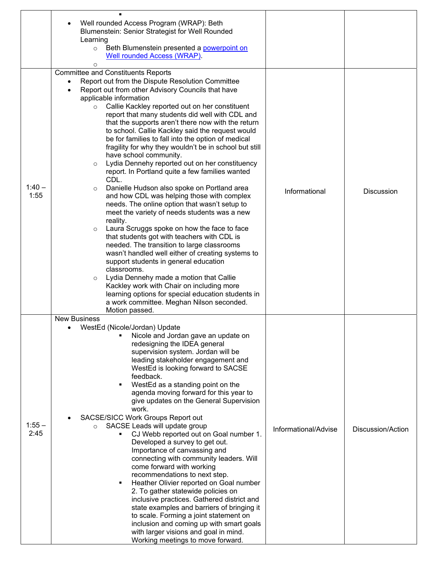|                  | Well rounded Access Program (WRAP): Beth<br>$\bullet$<br>Blumenstein: Senior Strategist for Well Rounded<br>Learning<br>Beth Blumenstein presented a powerpoint on<br>$\circ$<br><b>Well rounded Access (WRAP).</b><br>O                                                                                                                                                                                                                                                                                                                                                                                                                                                                                                                                                                                                                                                                                                                                                                                                                                                                                                                                                                                                                                                                                                                                                                  |                      |                   |
|------------------|-------------------------------------------------------------------------------------------------------------------------------------------------------------------------------------------------------------------------------------------------------------------------------------------------------------------------------------------------------------------------------------------------------------------------------------------------------------------------------------------------------------------------------------------------------------------------------------------------------------------------------------------------------------------------------------------------------------------------------------------------------------------------------------------------------------------------------------------------------------------------------------------------------------------------------------------------------------------------------------------------------------------------------------------------------------------------------------------------------------------------------------------------------------------------------------------------------------------------------------------------------------------------------------------------------------------------------------------------------------------------------------------|----------------------|-------------------|
| $1:40 -$<br>1:55 | <b>Committee and Constituents Reports</b><br>Report out from the Dispute Resolution Committee<br>Report out from other Advisory Councils that have<br>applicable information<br>Callie Kackley reported out on her constituent<br>$\circ$<br>report that many students did well with CDL and<br>that the supports aren't there now with the return<br>to school. Callie Kackley said the request would<br>be for families to fall into the option of medical<br>fragility for why they wouldn't be in school but still<br>have school community.<br>Lydia Dennehy reported out on her constituency<br>$\circ$<br>report. In Portland quite a few families wanted<br>CDL.<br>Danielle Hudson also spoke on Portland area<br>$\circ$<br>and how CDL was helping those with complex<br>needs. The online option that wasn't setup to<br>meet the variety of needs students was a new<br>reality.<br>Laura Scruggs spoke on how the face to face<br>$\circ$<br>that students got with teachers with CDL is<br>needed. The transition to large classrooms<br>wasn't handled well either of creating systems to<br>support students in general education<br>classrooms.<br>Lydia Dennehy made a motion that Callie<br>$\circ$<br>Kackley work with Chair on including more<br>learning options for special education students in<br>a work committee. Meghan Nilson seconded.<br>Motion passed. | Informational        | <b>Discussion</b> |
| $1:55 -$<br>2:45 | <b>New Business</b><br>WestEd (Nicole/Jordan) Update<br>Nicole and Jordan gave an update on<br>redesigning the IDEA general<br>supervision system. Jordan will be<br>leading stakeholder engagement and<br>WestEd is looking forward to SACSE<br>feedback.<br>WestEd as a standing point on the<br>agenda moving forward for this year to<br>give updates on the General Supervision<br>work.<br>SACSE/SICC Work Groups Report out<br>SACSE Leads will update group<br>$\circ$<br>CJ Webb reported out on Goal number 1.<br>Developed a survey to get out.<br>Importance of canvassing and<br>connecting with community leaders. Will<br>come forward with working<br>recommendations to next step.<br>Heather Olivier reported on Goal number<br>٠<br>2. To gather statewide policies on<br>inclusive practices. Gathered district and<br>state examples and barriers of bringing it<br>to scale. Forming a joint statement on<br>inclusion and coming up with smart goals<br>with larger visions and goal in mind.<br>Working meetings to move forward.                                                                                                                                                                                                                                                                                                                                 | Informational/Advise | Discussion/Action |